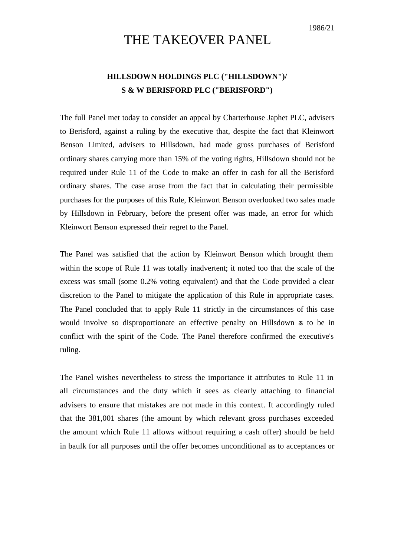## THE TAKEOVER PANEL

## **HILLSDOWN HOLDINGS PLC ("HILLSDOWN")/ S & W BERISFORD PLC ("BERISFORD")**

The full Panel met today to consider an appeal by Charterhouse Japhet PLC, advisers to Berisford, against a ruling by the executive that, despite the fact that Kleinwort Benson Limited, advisers to Hillsdown, had made gross purchases of Berisford ordinary shares carrying more than 15% of the voting rights, Hillsdown should not be required under Rule 11 of the Code to make an offer in cash for all the Berisford ordinary shares. The case arose from the fact that in calculating their permissible purchases for the purposes of this Rule, Kleinwort Benson overlooked two sales made by Hillsdown in February, before the present offer was made, an error for which Kleinwort Benson expressed their regret to the Panel.

The Panel was satisfied that the action by Kleinwort Benson which brought them within the scope of Rule 11 was totally inadvertent; it noted too that the scale of the excess was small (some 0.2% voting equivalent) and that the Code provided a clear discretion to the Panel to mitigate the application of this Rule in appropriate cases. The Panel concluded that to apply Rule 11 strictly in the circumstances of this case would involve so disproportionate an effective penalty on Hillsdown as to be in conflict with the spirit of the Code. The Panel therefore confirmed the executive's ruling.

The Panel wishes nevertheless to stress the importance it attributes to Rule 11 in all circumstances and the duty which it sees as clearly attaching to financial advisers to ensure that mistakes are not made in this context. It accordingly ruled that the 381,001 shares (the amount by which relevant gross purchases exceeded the amount which Rule 11 allows without requiring a cash offer) should be held in baulk for all purposes until the offer becomes unconditional as to acceptances or